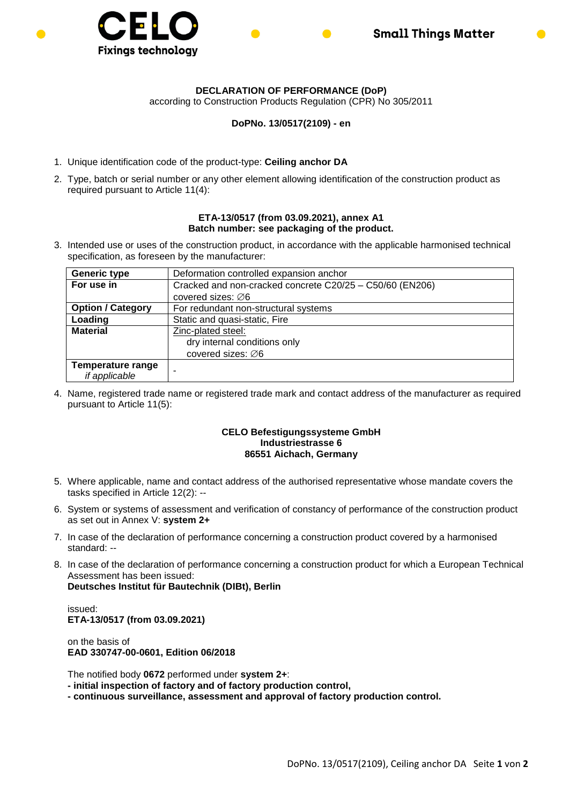



according to Construction Products Regulation (CPR) No 305/2011

## **DoPNo. 13/0517(2109) - en**

- 1. Unique identification code of the product-type: **Ceiling anchor DA**
- 2. Type, batch or serial number or any other element allowing identification of the construction product as required pursuant to Article 11(4):

## **ETA-13/0517 (from 03.09.2021), annex A1 Batch number: see packaging of the product.**

3. Intended use or uses of the construction product, in accordance with the applicable harmonised technical specification, as foreseen by the manufacturer:

| <b>Generic type</b>      | Deformation controlled expansion anchor                  |  |  |
|--------------------------|----------------------------------------------------------|--|--|
| For use in               | Cracked and non-cracked concrete C20/25 - C50/60 (EN206) |  |  |
|                          | covered sizes: $\varnothing$ 6                           |  |  |
| <b>Option / Category</b> | For redundant non-structural systems                     |  |  |
| Loading                  | Static and quasi-static, Fire                            |  |  |
| <b>Material</b>          | Zinc-plated steel:                                       |  |  |
|                          | dry internal conditions only                             |  |  |
|                          | covered sizes: ∅6                                        |  |  |
| <b>Temperature range</b> |                                                          |  |  |
| if applicable            |                                                          |  |  |

4. Name, registered trade name or registered trade mark and contact address of the manufacturer as required pursuant to Article 11(5):

## **CELO Befestigungssysteme GmbH Industriestrasse 6 86551 Aichach, Germany**

- 5. Where applicable, name and contact address of the authorised representative whose mandate covers the tasks specified in Article 12(2): --
- 6. System or systems of assessment and verification of constancy of performance of the construction product as set out in Annex V: **system 2+**
- 7. In case of the declaration of performance concerning a construction product covered by a harmonised standard: --
- 8. In case of the declaration of performance concerning a construction product for which a European Technical Assessment has been issued: **Deutsches Institut für Bautechnik (DIBt), Berlin**

issued: **ETA-13/0517 (from 03.09.2021)**

on the basis of **EAD 330747-00-0601, Edition 06/2018**

The notified body **0672** performed under **system 2+**:

**- initial inspection of factory and of factory production control,**

**- continuous surveillance, assessment and approval of factory production control.**